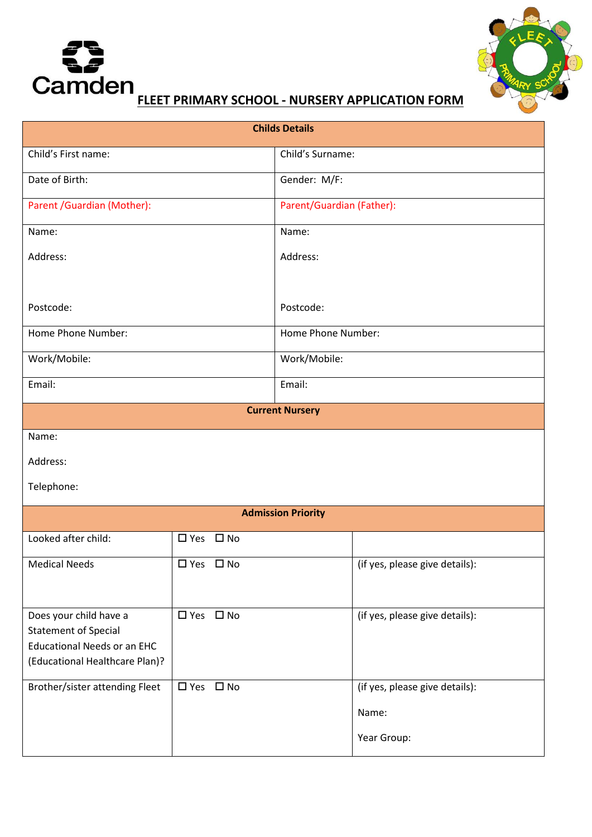



| <b>Childs Details</b>     |                                |  |  |  |
|---------------------------|--------------------------------|--|--|--|
|                           | Child's Surname:               |  |  |  |
|                           | Gender: M/F:                   |  |  |  |
|                           | Parent/Guardian (Father):      |  |  |  |
|                           | Name:                          |  |  |  |
|                           | Address:                       |  |  |  |
|                           |                                |  |  |  |
|                           | Postcode:                      |  |  |  |
|                           | Home Phone Number:             |  |  |  |
|                           | Work/Mobile:                   |  |  |  |
|                           | Email:                         |  |  |  |
|                           | <b>Current Nursery</b>         |  |  |  |
|                           |                                |  |  |  |
|                           |                                |  |  |  |
|                           |                                |  |  |  |
| <b>Admission Priority</b> |                                |  |  |  |
| $\Box$ Yes $\Box$ No      |                                |  |  |  |
| □ Yes □ No                | (if yes, please give details): |  |  |  |
|                           |                                |  |  |  |
| □ Yes □ No                | (if yes, please give details): |  |  |  |
|                           |                                |  |  |  |
|                           |                                |  |  |  |
| □ Yes □ No                | (if yes, please give details): |  |  |  |
|                           | Name:                          |  |  |  |
|                           | Year Group:                    |  |  |  |
|                           |                                |  |  |  |